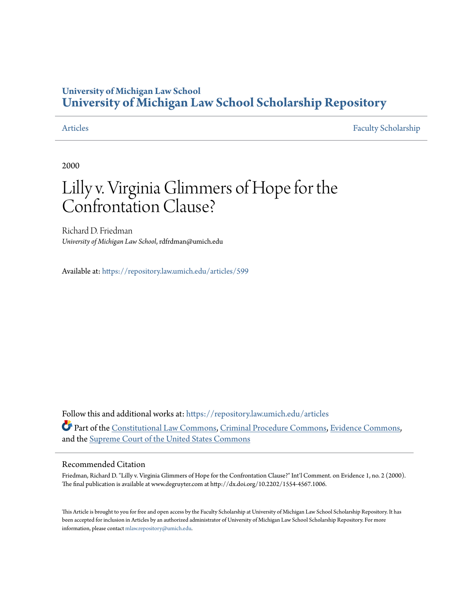# **University of Michigan Law School [University of Michigan Law School Scholarship Repository](https://repository.law.umich.edu?utm_source=repository.law.umich.edu%2Farticles%2F599&utm_medium=PDF&utm_campaign=PDFCoverPages)**

[Articles](https://repository.law.umich.edu/articles?utm_source=repository.law.umich.edu%2Farticles%2F599&utm_medium=PDF&utm_campaign=PDFCoverPages) [Faculty Scholarship](https://repository.law.umich.edu/faculty_scholarship?utm_source=repository.law.umich.edu%2Farticles%2F599&utm_medium=PDF&utm_campaign=PDFCoverPages)

2000

# Lilly v. Virginia Glimmers of Hope for the Confrontation Clause?

Richard D. Friedman *University of Michigan Law School*, rdfrdman@umich.edu

Available at: <https://repository.law.umich.edu/articles/599>

Follow this and additional works at: [https://repository.law.umich.edu/articles](https://repository.law.umich.edu/articles?utm_source=repository.law.umich.edu%2Farticles%2F599&utm_medium=PDF&utm_campaign=PDFCoverPages) Part of the [Constitutional Law Commons,](http://network.bepress.com/hgg/discipline/589?utm_source=repository.law.umich.edu%2Farticles%2F599&utm_medium=PDF&utm_campaign=PDFCoverPages) [Criminal Procedure Commons](http://network.bepress.com/hgg/discipline/1073?utm_source=repository.law.umich.edu%2Farticles%2F599&utm_medium=PDF&utm_campaign=PDFCoverPages), [Evidence Commons](http://network.bepress.com/hgg/discipline/601?utm_source=repository.law.umich.edu%2Farticles%2F599&utm_medium=PDF&utm_campaign=PDFCoverPages), and the [Supreme Court of the United States Commons](http://network.bepress.com/hgg/discipline/1350?utm_source=repository.law.umich.edu%2Farticles%2F599&utm_medium=PDF&utm_campaign=PDFCoverPages)

#### Recommended Citation

Friedman, Richard D. "Lilly v. Virginia Glimmers of Hope for the Confrontation Clause?" Int'l Comment. on Evidence 1, no. 2 (2000). The final publication is available at www.degruyter.com at http://dx.doi.org/10.2202/1554-4567.1006.

This Article is brought to you for free and open access by the Faculty Scholarship at University of Michigan Law School Scholarship Repository. It has been accepted for inclusion in Articles by an authorized administrator of University of Michigan Law School Scholarship Repository. For more information, please contact [mlaw.repository@umich.edu.](mailto:mlaw.repository@umich.edu)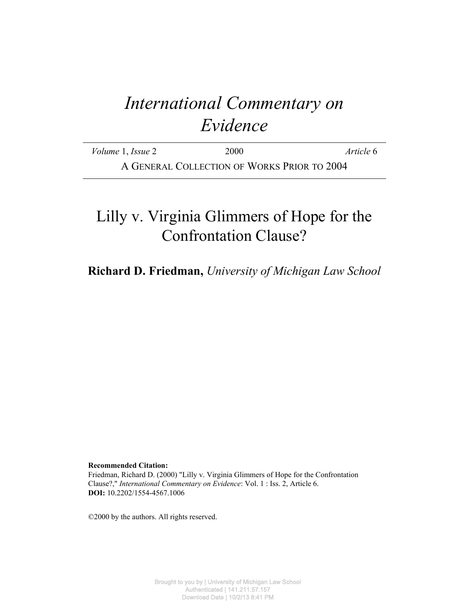# *International Commentary on Evidence*

| <i>Volume</i> 1, <i>Issue</i> 2             | 2000 | <i>Article</i> 6 |
|---------------------------------------------|------|------------------|
| A GENERAL COLLECTION OF WORKS PRIOR TO 2004 |      |                  |

# Lilly v. Virginia Glimmers of Hope for the Confrontation Clause?

**Richard D. Friedman,** *University of Michigan Law School*

**Recommended Citation:**

Friedman, Richard D. (2000) "Lilly v. Virginia Glimmers of Hope for the Confrontation Clause?," *International Commentary on Evidence*: Vol. 1 : Iss. 2, Article 6. **DOI:** 10.2202/1554-4567.1006

©2000 by the authors. All rights reserved.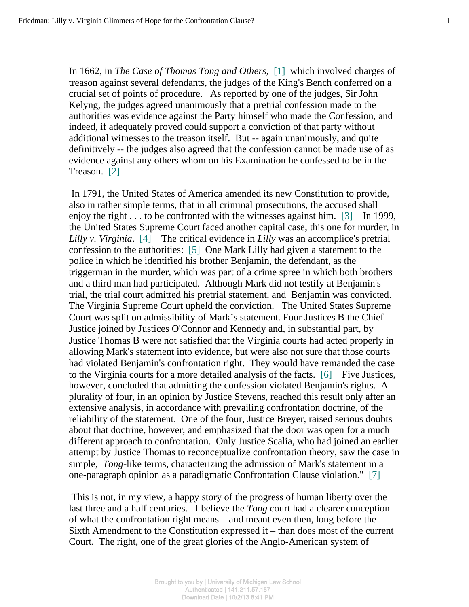In 1662, in *The Case of Thomas Tong and Others*, [1] which involved charges of treason against several defendants, the judges of the King's Bench conferred on a crucial set of points of procedure. As reported by one of the judges, Sir John Kelyng, the judges agreed unanimously that a pretrial confession made to the authorities was evidence against the Party himself who made the Confession, and indeed, if adequately proved could support a conviction of that party without additional witnesses to the treason itself. But -- again unanimously, and quite definitively -- the judges also agreed that the confession cannot be made use of as evidence against any others whom on his Examination he confessed to be in the Treason. [2]

In 1791, the United States of America amended its new Constitution to provide, also in rather simple terms, that in all criminal prosecutions, the accused shall enjoy the right  $\dots$  to be confronted with the witnesses against him. [3] In 1999, the United States Supreme Court faced another capital case, this one for murder, in *Lilly v. Virginia*. [4] The critical evidence in *Lilly* was an accomplice's pretrial confession to the authorities: [5] One Mark Lilly had given a statement to the police in which he identified his brother Benjamin, the defendant, as the triggerman in the murder, which was part of a crime spree in which both brothers and a third man had participated. Although Mark did not testify at Benjamin's trial, the trial court admitted his pretrial statement, and Benjamin was convicted. The Virginia Supreme Court upheld the conviction. The United States Supreme Court was split on admissibility of Mark's statement. Four Justices B the Chief Justice joined by Justices O'Connor and Kennedy and, in substantial part, by Justice Thomas B were not satisfied that the Virginia courts had acted properly in allowing Mark's statement into evidence, but were also not sure that those courts had violated Benjamin's confrontation right. They would have remanded the case to the Virginia courts for a more detailed analysis of the facts. [6] Five Justices, however, concluded that admitting the confession violated Benjamin's rights. A plurality of four, in an opinion by Justice Stevens, reached this result only after an extensive analysis, in accordance with prevailing confrontation doctrine, of the reliability of the statement. One of the four, Justice Breyer, raised serious doubts about that doctrine, however, and emphasized that the door was open for a much different approach to confrontation. Only Justice Scalia, who had joined an earlier attempt by Justice Thomas to reconceptualize confrontation theory, saw the case in simple, *Tong*-like terms, characterizing the admission of Mark's statement in a one-paragraph opinion as a paradigmatic Confrontation Clause violation." [7]

This is not, in my view, a happy story of the progress of human liberty over the last three and a half centuries. I believe the *Tong* court had a clearer conception of what the confrontation right means – and meant even then, long before the Sixth Amendment to the Constitution expressed it – than does most of the current Court. The right, one of the great glories of the Anglo-American system of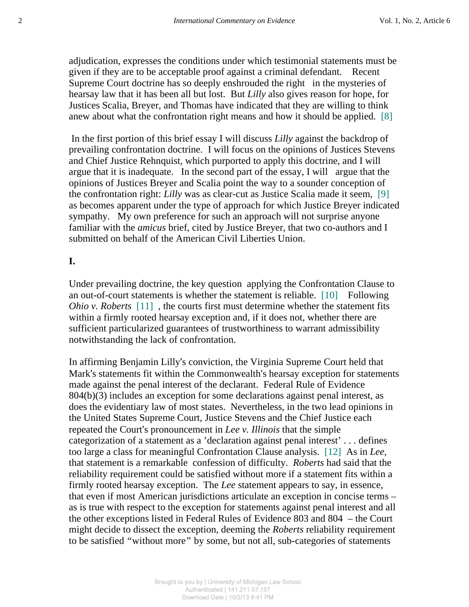adjudication, expresses the conditions under which testimonial statements must be given if they are to be acceptable proof against a criminal defendant. Recent Supreme Court doctrine has so deeply enshrouded the right in the mysteries of hearsay law that it has been all but lost. But *Lilly* also gives reason for hope, for Justices Scalia, Breyer, and Thomas have indicated that they are willing to think anew about what the confrontation right means and how it should be applied. [8]

In the first portion of this brief essay I will discuss *Lilly* against the backdrop of prevailing confrontation doctrine. I will focus on the opinions of Justices Stevens and Chief Justice Rehnquist, which purported to apply this doctrine, and I will argue that it is inadequate. In the second part of the essay, I will argue that the opinions of Justices Breyer and Scalia point the way to a sounder conception of the confrontation right: *Lilly* was as clear-cut as Justice Scalia made it seem, [9] as becomes apparent under the type of approach for which Justice Breyer indicated sympathy. My own preference for such an approach will not surprise anyone familiar with the *amicus* brief, cited by Justice Breyer, that two co-authors and I submitted on behalf of the American Civil Liberties Union.

#### **I.**

Under prevailing doctrine, the key question applying the Confrontation Clause to an out-of-court statements is whether the statement is reliable. [10] Following *Ohio v. Roberts* [11], the courts first must determine whether the statement fits within a firmly rooted hearsay exception and, if it does not, whether there are sufficient particularized guarantees of trustworthiness to warrant admissibility notwithstanding the lack of confrontation.

In affirming Benjamin Lilly's conviction, the Virginia Supreme Court held that Mark's statements fit within the Commonwealth's hearsay exception for statements made against the penal interest of the declarant. Federal Rule of Evidence 804(b)(3) includes an exception for some declarations against penal interest, as does the evidentiary law of most states. Nevertheless, in the two lead opinions in the United States Supreme Court, Justice Stevens and the Chief Justice each repeated the Court's pronouncement in *Lee v. Illinois* that the simple categorization of a statement as a 'declaration against penal interest' . . . defines too large a class for meaningful Confrontation Clause analysis. [12] As in *Lee*, that statement is a remarkable confession of difficulty. *Roberts* had said that the reliability requirement could be satisfied without more if a statement fits within a firmly rooted hearsay exception. The *Lee* statement appears to say, in essence, that even if most American jurisdictions articulate an exception in concise terms – as is true with respect to the exception for statements against penal interest and all the other exceptions listed in Federal Rules of Evidence 803 and 804 – the Court might decide to dissect the exception, deeming the *Roberts* reliability requirement to be satisfied "without more" by some, but not all, sub-categories of statements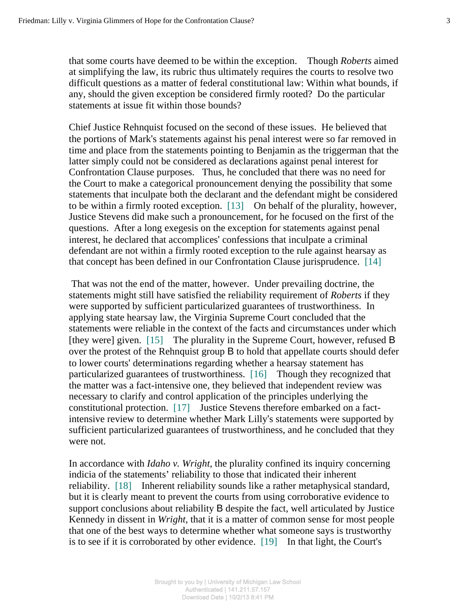that some courts have deemed to be within the exception. Though *Roberts* aimed at simplifying the law, its rubric thus ultimately requires the courts to resolve two difficult questions as a matter of federal constitutional law: Within what bounds, if any, should the given exception be considered firmly rooted? Do the particular statements at issue fit within those bounds?

Chief Justice Rehnquist focused on the second of these issues. He believed that the portions of Mark's statements against his penal interest were so far removed in time and place from the statements pointing to Benjamin as the triggerman that the latter simply could not be considered as declarations against penal interest for Confrontation Clause purposes. Thus, he concluded that there was no need for the Court to make a categorical pronouncement denying the possibility that some statements that inculpate both the declarant and the defendant might be considered to be within a firmly rooted exception. [13] On behalf of the plurality, however, Justice Stevens did make such a pronouncement, for he focused on the first of the questions. After a long exegesis on the exception for statements against penal interest, he declared that accomplices' confessions that inculpate a criminal defendant are not within a firmly rooted exception to the rule against hearsay as that concept has been defined in our Confrontation Clause jurisprudence. [14]

That was not the end of the matter, however. Under prevailing doctrine, the statements might still have satisfied the reliability requirement of *Roberts* if they were supported by sufficient particularized guarantees of trustworthiness. In applying state hearsay law, the Virginia Supreme Court concluded that the statements were reliable in the context of the facts and circumstances under which [they were] given. [15] The plurality in the Supreme Court, however, refused B over the protest of the Rehnquist group B to hold that appellate courts should defer to lower courts' determinations regarding whether a hearsay statement has particularized guarantees of trustworthiness. [16] Though they recognized that the matter was a fact-intensive one, they believed that independent review was necessary to clarify and control application of the principles underlying the constitutional protection. [17] Justice Stevens therefore embarked on a factintensive review to determine whether Mark Lilly's statements were supported by sufficient particularized guarantees of trustworthiness, and he concluded that they were not.

In accordance with *Idaho v. Wright,* the plurality confined its inquiry concerning indicia of the statements' reliability to those that indicated their inherent reliability. [18] Inherent reliability sounds like a rather metaphysical standard, but it is clearly meant to prevent the courts from using corroborative evidence to support conclusions about reliability B despite the fact, well articulated by Justice Kennedy in dissent in *Wright*, that it is a matter of common sense for most people that one of the best ways to determine whether what someone says is trustworthy is to see if it is corroborated by other evidence. [19] In that light, the Court's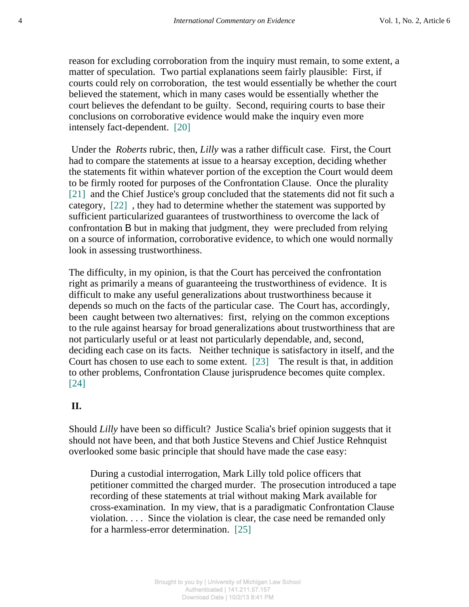reason for excluding corroboration from the inquiry must remain, to some extent, a matter of speculation. Two partial explanations seem fairly plausible: First, if courts could rely on corroboration, the test would essentially be whether the court believed the statement, which in many cases would be essentially whether the court believes the defendant to be guilty. Second, requiring courts to base their conclusions on corroborative evidence would make the inquiry even more intensely fact-dependent. [20]

Under the *Roberts* rubric, then, *Lilly* was a rather difficult case. First, the Court had to compare the statements at issue to a hearsay exception, deciding whether the statements fit within whatever portion of the exception the Court would deem to be firmly rooted for purposes of the Confrontation Clause. Once the plurality [21] and the Chief Justice's group concluded that the statements did not fit such a category, [22] , they had to determine whether the statement was supported by sufficient particularized guarantees of trustworthiness to overcome the lack of confrontation B but in making that judgment, they were precluded from relying on a source of information, corroborative evidence, to which one would normally look in assessing trustworthiness.

The difficulty, in my opinion, is that the Court has perceived the confrontation right as primarily a means of guaranteeing the trustworthiness of evidence. It is difficult to make any useful generalizations about trustworthiness because it depends so much on the facts of the particular case. The Court has, accordingly, been caught between two alternatives: first, relying on the common exceptions to the rule against hearsay for broad generalizations about trustworthiness that are not particularly useful or at least not particularly dependable, and, second, deciding each case on its facts. Neither technique is satisfactory in itself, and the Court has chosen to use each to some extent. [23] The result is that, in addition to other problems, Confrontation Clause jurisprudence becomes quite complex. [24]

## **II.**

Should *Lilly* have been so difficult? Justice Scalia's brief opinion suggests that it should not have been, and that both Justice Stevens and Chief Justice Rehnquist overlooked some basic principle that should have made the case easy:

During a custodial interrogation, Mark Lilly told police officers that petitioner committed the charged murder. The prosecution introduced a tape recording of these statements at trial without making Mark available for cross-examination. In my view, that is a paradigmatic Confrontation Clause violation. . . . Since the violation is clear, the case need be remanded only for a harmless-error determination. [25]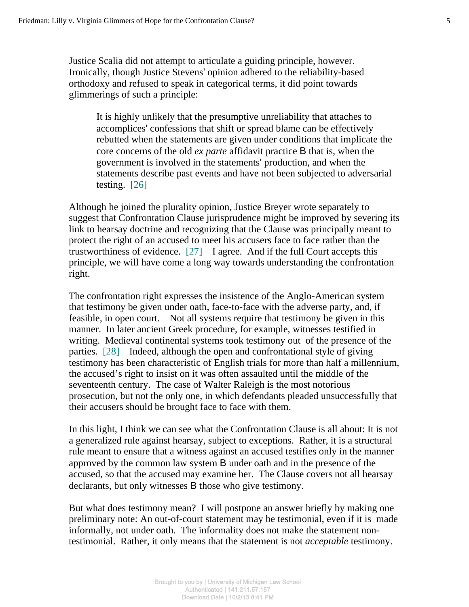Justice Scalia did not attempt to articulate a guiding principle, however. Ironically, though Justice Stevens' opinion adhered to the reliability-based orthodoxy and refused to speak in categorical terms, it did point towards glimmerings of such a principle:

It is highly unlikely that the presumptive unreliability that attaches to accomplices' confessions that shift or spread blame can be effectively rebutted when the statements are given under conditions that implicate the core concerns of the old *ex parte* affidavit practice B that is, when the government is involved in the statements' production, and when the statements describe past events and have not been subjected to adversarial testing. [26]

Although he joined the plurality opinion, Justice Breyer wrote separately to suggest that Confrontation Clause jurisprudence might be improved by severing its link to hearsay doctrine and recognizing that the Clause was principally meant to protect the right of an accused to meet his accusers face to face rather than the trustworthiness of evidence.  $[27]$  I agree. And if the full Court accepts this principle, we will have come a long way towards understanding the confrontation right.

The confrontation right expresses the insistence of the Anglo-American system that testimony be given under oath, face-to-face with the adverse party, and, if feasible, in open court. Not all systems require that testimony be given in this manner. In later ancient Greek procedure, for example, witnesses testified in writing. Medieval continental systems took testimony out of the presence of the parties. [28] Indeed, although the open and confrontational style of giving testimony has been characteristic of English trials for more than half a millennium, the accused's right to insist on it was often assaulted until the middle of the seventeenth century. The case of Walter Raleigh is the most notorious prosecution, but not the only one, in which defendants pleaded unsuccessfully that their accusers should be brought face to face with them.

In this light, I think we can see what the Confrontation Clause is all about: It is not a generalized rule against hearsay, subject to exceptions. Rather, it is a structural rule meant to ensure that a witness against an accused testifies only in the manner approved by the common law system B under oath and in the presence of the accused, so that the accused may examine her. The Clause covers not all hearsay declarants, but only witnesses B those who give testimony.

But what does testimony mean? I will postpone an answer briefly by making one preliminary note: An out-of-court statement may be testimonial, even if it is made informally, not under oath. The informality does not make the statement nontestimonial. Rather, it only means that the statement is not *acceptable* testimony.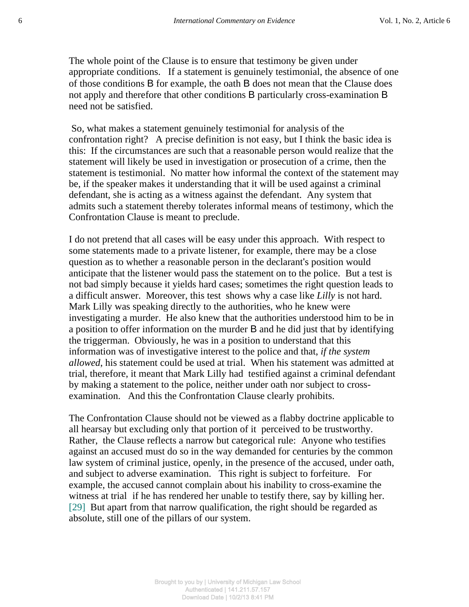The whole point of the Clause is to ensure that testimony be given under appropriate conditions. If a statement is genuinely testimonial, the absence of one of those conditions B for example, the oath B does not mean that the Clause does not apply and therefore that other conditions B particularly cross-examination B need not be satisfied.

 So, what makes a statement genuinely testimonial for analysis of the confrontation right? A precise definition is not easy, but I think the basic idea is this: If the circumstances are such that a reasonable person would realize that the statement will likely be used in investigation or prosecution of a crime, then the statement is testimonial. No matter how informal the context of the statement may be, if the speaker makes it understanding that it will be used against a criminal defendant, she is acting as a witness against the defendant. Any system that admits such a statement thereby tolerates informal means of testimony, which the Confrontation Clause is meant to preclude.

I do not pretend that all cases will be easy under this approach. With respect to some statements made to a private listener, for example, there may be a close question as to whether a reasonable person in the declarant's position would anticipate that the listener would pass the statement on to the police. But a test is not bad simply because it yields hard cases; sometimes the right question leads to a difficult answer. Moreover, this test shows why a case like *Lilly* is not hard. Mark Lilly was speaking directly to the authorities, who he knew were investigating a murder. He also knew that the authorities understood him to be in a position to offer information on the murder B and he did just that by identifying the triggerman. Obviously, he was in a position to understand that this information was of investigative interest to the police and that, *if the system allowed*, his statement could be used at trial. When his statement was admitted at trial, therefore, it meant that Mark Lilly had testified against a criminal defendant by making a statement to the police, neither under oath nor subject to crossexamination. And this the Confrontation Clause clearly prohibits.

The Confrontation Clause should not be viewed as a flabby doctrine applicable to all hearsay but excluding only that portion of it perceived to be trustworthy. Rather, the Clause reflects a narrow but categorical rule: Anyone who testifies against an accused must do so in the way demanded for centuries by the common law system of criminal justice, openly, in the presence of the accused, under oath, and subject to adverse examination. This right is subject to forfeiture. For example, the accused cannot complain about his inability to cross-examine the witness at trial if he has rendered her unable to testify there, say by killing her. [29] But apart from that narrow qualification, the right should be regarded as absolute, still one of the pillars of our system.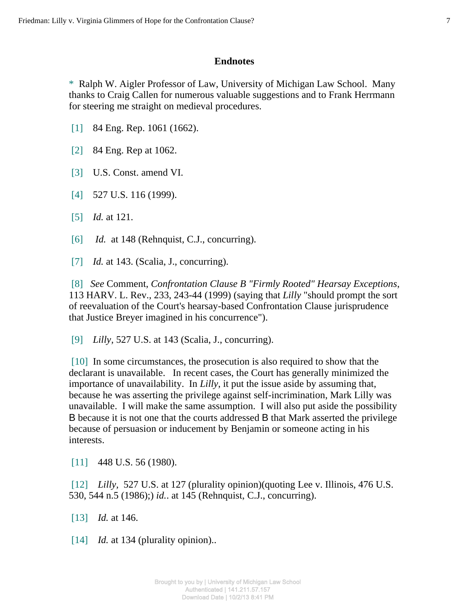### **Endnotes**

\* Ralph W. Aigler Professor of Law, University of Michigan Law School. Many thanks to Craig Callen for numerous valuable suggestions and to Frank Herrmann for steering me straight on medieval procedures.

- [1] 84 Eng. Rep. 1061 (1662).
- [2] 84 Eng. Rep at 1062.
- [3] U.S. Const. amend VI.
- [4] 527 U.S. 116 (1999).
- [5] *Id.* at 121.
- [6] *Id.* at 148 (Rehnquist, C.J., concurring).
- [7] *Id.* at 143. (Scalia, J., concurring).

 [8] *See* Comment, *Confrontation Clause B "Firmly Rooted" Hearsay Exceptions*, 113 HARV. L. Rev., 233, 243-44 (1999) (saying that *Lilly* "should prompt the sort of reevaluation of the Court's hearsay-based Confrontation Clause jurisprudence that Justice Breyer imagined in his concurrence").

[9] *Lilly,* 527 U.S. at 143 (Scalia, J., concurring).

 [10] In some circumstances, the prosecution is also required to show that the declarant is unavailable. In recent cases, the Court has generally minimized the importance of unavailability. In *Lilly*, it put the issue aside by assuming that, because he was asserting the privilege against self-incrimination, Mark Lilly was unavailable. I will make the same assumption. I will also put aside the possibility B because it is not one that the courts addressed B that Mark asserted the privilege because of persuasion or inducement by Benjamin or someone acting in his interests.

[11] 448 U.S. 56 (1980).

[12] *Lilly,* 527 U.S. at 127 (plurality opinion)(quoting Lee v. Illinois, 476 U.S. 530, 544 n.5 (1986);) *id.*. at 145 (Rehnquist, C.J., concurring).

- [13] *Id.* at 146.
- [14] *Id.* at 134 (plurality opinion)..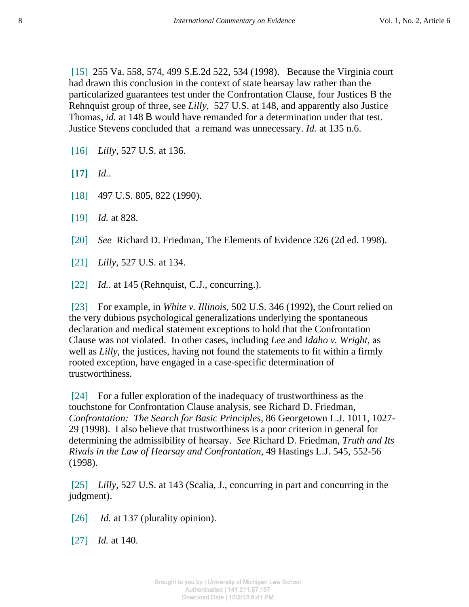[15] 255 Va. 558, 574, 499 S.E.2d 522, 534 (1998). Because the Virginia court had drawn this conclusion in the context of state hearsay law rather than the particularized guarantees test under the Confrontation Clause, four Justices B the Rehnquist group of three, see *Lilly,* 527 U.S. at 148, and apparently also Justice Thomas, *id.* at 148 B would have remanded for a determination under that test. Justice Stevens concluded that a remand was unnecessary. *Id.* at 135 n.6.

- [16] *Lilly,* 527 U.S. at 136.
- **[17]** *Id.*.
- [18] 497 U.S. 805, 822 (1990).
- [19] *Id.* at 828.
- [20] *See* Richard D. Friedman, The Elements of Evidence 326 (2d ed. 1998).
- [21] *Lilly,* 527 U.S. at 134.
- [22] *Id.*. at 145 (Rehnquist, C.J., concurring.).

 [23] For example, in *White v. Illinois*, 502 U.S. 346 (1992), the Court relied on the very dubious psychological generalizations underlying the spontaneous declaration and medical statement exceptions to hold that the Confrontation Clause was not violated. In other cases, including *Lee* and *Idaho v. Wright*, as well as *Lilly,* the justices, having not found the statements to fit within a firmly rooted exception, have engaged in a case-specific determination of trustworthiness.

 [24] For a fuller exploration of the inadequacy of trustworthiness as the touchstone for Confrontation Clause analysis, see Richard D. Friedman, *Confrontation: The Search for Basic Principles*, 86 Georgetown L.J. 1011, 1027- 29 (1998). I also believe that trustworthiness is a poor criterion in general for determining the admissibility of hearsay. *See* Richard D. Friedman, *Truth and Its Rivals in the Law of Hearsay and Confrontation*, 49 Hastings L.J. 545, 552-56 (1998).

 [25] *Lilly*, 527 U.S. at 143 (Scalia, J., concurring in part and concurring in the judgment).

- [26] *Id.* at 137 (plurality opinion).
- [27] *Id.* at 140.